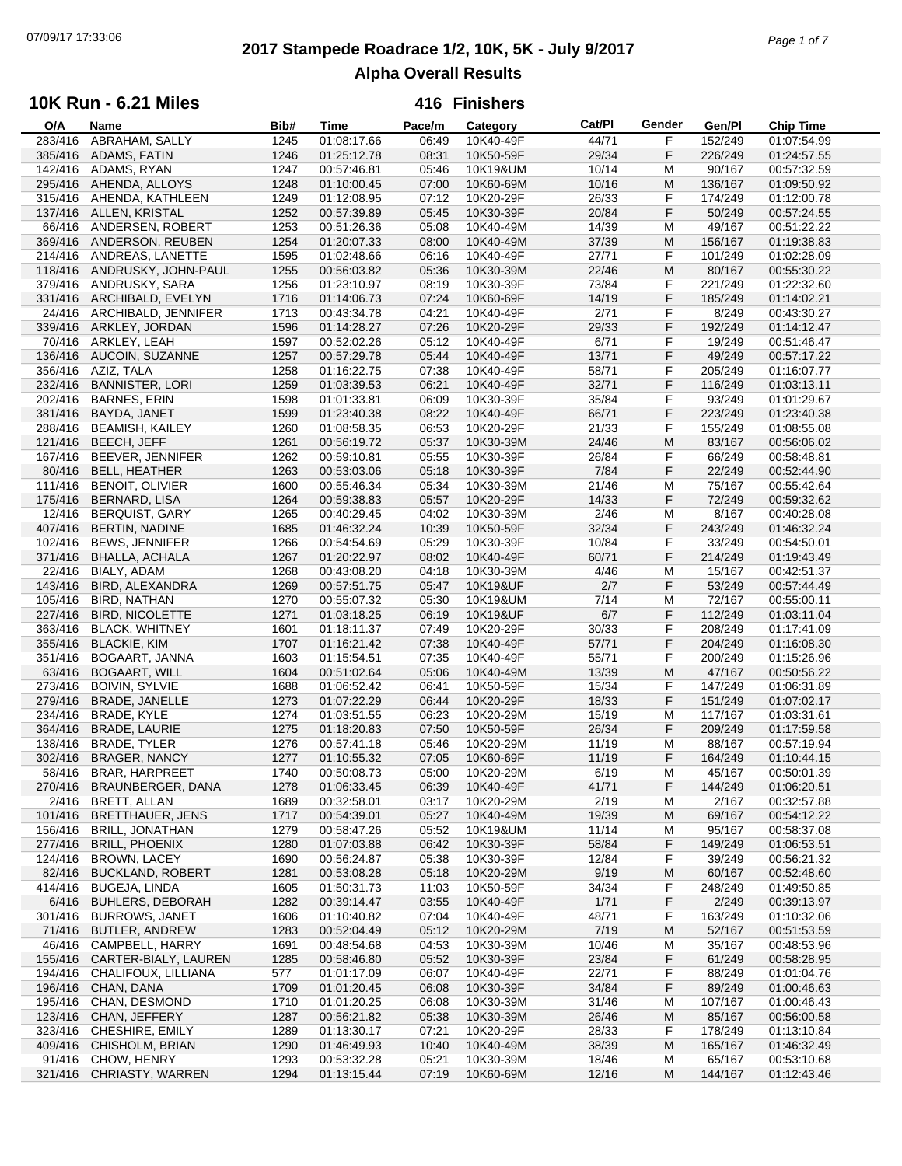# **2017 Stampede Roadrace 1/2, 10K, 5K - July 9/2017** 07/09/17 17:33:06 *Page 1 of 7* **Alpha Overall Results**

### **10K Run - 6.21 Miles**

| O/A     | Name                     | Bib# | <b>Time</b> | Pace/m | Category  | Cat/PI | Gender | Gen/Pl  | <b>Chip Time</b> |
|---------|--------------------------|------|-------------|--------|-----------|--------|--------|---------|------------------|
| 283/416 | ABRAHAM, SALLY           | 1245 | 01:08:17.66 | 06:49  | 10K40-49F | 44/71  | F      | 152/249 | 01:07:54.99      |
| 385/416 | ADAMS, FATIN             | 1246 | 01:25:12.78 | 08:31  | 10K50-59F | 29/34  | F      | 226/249 | 01:24:57.55      |
| 142/416 | ADAMS, RYAN              | 1247 | 00:57:46.81 | 05:46  | 10K19&UM  | 10/14  | M      | 90/167  | 00:57:32.59      |
| 295/416 | AHENDA, ALLOYS           | 1248 | 01:10:00.45 | 07:00  | 10K60-69M | 10/16  | M      | 136/167 | 01:09:50.92      |
| 315/416 | AHENDA, KATHLEEN         | 1249 | 01:12:08.95 | 07:12  | 10K20-29F | 26/33  | F      | 174/249 | 01:12:00.78      |
|         |                          |      |             |        |           |        |        |         |                  |
| 137/416 | ALLEN, KRISTAL           | 1252 | 00:57:39.89 | 05:45  | 10K30-39F | 20/84  | F      | 50/249  | 00:57:24.55      |
| 66/416  | ANDERSEN, ROBERT         | 1253 | 00:51:26.36 | 05:08  | 10K40-49M | 14/39  | M      | 49/167  | 00:51:22.22      |
| 369/416 | ANDERSON, REUBEN         | 1254 | 01:20:07.33 | 08:00  | 10K40-49M | 37/39  | M      | 156/167 | 01:19:38.83      |
| 214/416 | ANDREAS, LANETTE         | 1595 | 01:02:48.66 | 06:16  | 10K40-49F | 27/71  | F      | 101/249 | 01:02:28.09      |
| 118/416 | ANDRUSKY, JOHN-PAUL      | 1255 | 00:56:03.82 | 05:36  | 10K30-39M | 22/46  | M      | 80/167  | 00:55:30.22      |
| 379/416 | ANDRUSKY, SARA           | 1256 | 01:23:10.97 | 08:19  | 10K30-39F | 73/84  | F      | 221/249 | 01:22:32.60      |
| 331/416 | ARCHIBALD, EVELYN        | 1716 | 01:14:06.73 | 07:24  | 10K60-69F | 14/19  | F      | 185/249 | 01:14:02.21      |
| 24/416  | ARCHIBALD, JENNIFER      | 1713 | 00:43:34.78 | 04:21  | 10K40-49F | 2/71   | F      | 8/249   | 00:43:30.27      |
|         |                          |      |             |        |           |        |        | 192/249 |                  |
| 339/416 | ARKLEY, JORDAN           | 1596 | 01:14:28.27 | 07:26  | 10K20-29F | 29/33  | F      |         | 01:14:12.47      |
| 70/416  | ARKLEY, LEAH             | 1597 | 00:52:02.26 | 05:12  | 10K40-49F | 6/71   | F      | 19/249  | 00:51:46.47      |
| 136/416 | AUCOIN, SUZANNE          | 1257 | 00:57:29.78 | 05:44  | 10K40-49F | 13/71  | F      | 49/249  | 00:57:17.22      |
| 356/416 | AZIZ, TALA               | 1258 | 01:16:22.75 | 07:38  | 10K40-49F | 58/71  | F      | 205/249 | 01:16:07.77      |
| 232/416 | <b>BANNISTER, LORI</b>   | 1259 | 01:03:39.53 | 06:21  | 10K40-49F | 32/71  | F      | 116/249 | 01:03:13.11      |
| 202/416 | <b>BARNES, ERIN</b>      | 1598 | 01:01:33.81 | 06:09  | 10K30-39F | 35/84  | F      | 93/249  | 01:01:29.67      |
| 381/416 | BAYDA, JANET             | 1599 | 01:23:40.38 | 08:22  | 10K40-49F | 66/71  | F      | 223/249 | 01:23:40.38      |
| 288/416 | <b>BEAMISH, KAILEY</b>   | 1260 | 01:08:58.35 | 06:53  | 10K20-29F | 21/33  | F      | 155/249 | 01:08:55.08      |
|         |                          |      | 00:56:19.72 |        |           |        |        |         |                  |
| 121/416 | BEECH, JEFF              | 1261 |             | 05:37  | 10K30-39M | 24/46  | M      | 83/167  | 00:56:06.02      |
| 167/416 | BEEVER, JENNIFER         | 1262 | 00:59:10.81 | 05:55  | 10K30-39F | 26/84  | F      | 66/249  | 00:58:48.81      |
| 80/416  | <b>BELL, HEATHER</b>     | 1263 | 00:53:03.06 | 05:18  | 10K30-39F | 7/84   | F      | 22/249  | 00:52:44.90      |
| 111/416 | <b>BENOIT, OLIVIER</b>   | 1600 | 00:55:46.34 | 05:34  | 10K30-39M | 21/46  | M      | 75/167  | 00:55:42.64      |
| 175/416 | <b>BERNARD, LISA</b>     | 1264 | 00:59:38.83 | 05:57  | 10K20-29F | 14/33  | F      | 72/249  | 00:59:32.62      |
| 12/416  | <b>BERQUIST, GARY</b>    | 1265 | 00:40:29.45 | 04:02  | 10K30-39M | 2/46   | M      | 8/167   | 00:40:28.08      |
| 407/416 | <b>BERTIN, NADINE</b>    | 1685 | 01:46:32.24 | 10:39  | 10K50-59F | 32/34  | F      | 243/249 | 01:46:32.24      |
| 102/416 | <b>BEWS, JENNIFER</b>    | 1266 | 00:54:54.69 | 05:29  | 10K30-39F | 10/84  | F      | 33/249  | 00:54:50.01      |
|         |                          |      |             |        |           |        | F      |         |                  |
| 371/416 | <b>BHALLA, ACHALA</b>    | 1267 | 01:20:22.97 | 08:02  | 10K40-49F | 60/71  |        | 214/249 | 01:19:43.49      |
| 22/416  | BIALY, ADAM              | 1268 | 00:43:08.20 | 04:18  | 10K30-39M | 4/46   | M      | 15/167  | 00:42:51.37      |
| 143/416 | BIRD, ALEXANDRA          | 1269 | 00:57:51.75 | 05:47  | 10K19&UF  | 2/7    | F      | 53/249  | 00:57:44.49      |
| 105/416 | <b>BIRD, NATHAN</b>      | 1270 | 00:55:07.32 | 05:30  | 10K19&UM  | 7/14   | M      | 72/167  | 00:55:00.11      |
| 227/416 | <b>BIRD, NICOLETTE</b>   | 1271 | 01:03:18.25 | 06:19  | 10K19&UF  | 6/7    | F      | 112/249 | 01:03:11.04      |
| 363/416 | <b>BLACK, WHITNEY</b>    | 1601 | 01:18:11.37 | 07:49  | 10K20-29F | 30/33  | F      | 208/249 | 01:17:41.09      |
| 355/416 | <b>BLACKIE, KIM</b>      | 1707 | 01:16:21.42 | 07:38  | 10K40-49F | 57/71  | F      | 204/249 | 01:16:08.30      |
| 351/416 | BOGAART, JANNA           | 1603 | 01:15:54.51 | 07:35  | 10K40-49F | 55/71  | F      | 200/249 | 01:15:26.96      |
|         |                          |      |             | 05:06  |           |        | M      |         |                  |
| 63/416  | <b>BOGAART, WILL</b>     | 1604 | 00:51:02.64 |        | 10K40-49M | 13/39  |        | 47/167  | 00:50:56.22      |
| 273/416 | <b>BOIVIN, SYLVIE</b>    | 1688 | 01:06:52.42 | 06:41  | 10K50-59F | 15/34  | F      | 147/249 | 01:06:31.89      |
| 279/416 | <b>BRADE, JANELLE</b>    | 1273 | 01:07:22.29 | 06:44  | 10K20-29F | 18/33  | F      | 151/249 | 01:07:02.17      |
| 234/416 | BRADE, KYLE              | 1274 | 01:03:51.55 | 06:23  | 10K20-29M | 15/19  | M      | 117/167 | 01:03:31.61      |
| 364/416 | <b>BRADE, LAURIE</b>     | 1275 | 01:18:20.83 | 07:50  | 10K50-59F | 26/34  | F      | 209/249 | 01:17:59.58      |
| 138/416 | BRADE, TYLER             | 1276 | 00:57:41.18 | 05:46  | 10K20-29M | 11/19  | M      | 88/167  | 00:57:19.94      |
| 302/416 | <b>BRAGER, NANCY</b>     | 1277 | 01:10:55.32 | 07:05  | 10K60-69F | 11/19  | F      | 164/249 | 01:10:44.15      |
|         | 58/416 BRAR, HARPREET    | 1740 | 00:50:08.73 | 05:00  | 10K20-29M | 6/19   | M      | 45/167  | 00:50:01.39      |
| 270/416 | BRAUNBERGER, DANA        | 1278 | 01:06:33.45 | 06:39  | 10K40-49F | 41/71  | F      | 144/249 | 01:06:20.51      |
| 2/416   | BRETT, ALLAN             | 1689 | 00:32:58.01 | 03:17  | 10K20-29M | 2/19   | M      | 2/167   | 00:32:57.88      |
|         |                          |      |             |        |           |        |        |         |                  |
| 101/416 | <b>BRETTHAUER, JENS</b>  | 1717 | 00:54:39.01 | 05:27  | 10K40-49M | 19/39  | M      | 69/167  | 00:54:12.22      |
| 156/416 | <b>BRILL, JONATHAN</b>   | 1279 | 00:58:47.26 | 05:52  | 10K19&UM  | 11/14  | M      | 95/167  | 00:58:37.08      |
| 277/416 | <b>BRILL, PHOENIX</b>    | 1280 | 01:07:03.88 | 06:42  | 10K30-39F | 58/84  | F      | 149/249 | 01:06:53.51      |
| 124/416 | <b>BROWN, LACEY</b>      | 1690 | 00:56:24.87 | 05:38  | 10K30-39F | 12/84  | F      | 39/249  | 00:56:21.32      |
| 82/416  | <b>BUCKLAND, ROBERT</b>  | 1281 | 00:53:08.28 | 05:18  | 10K20-29M | 9/19   | M      | 60/167  | 00:52:48.60      |
| 414/416 | <b>BUGEJA, LINDA</b>     | 1605 | 01:50:31.73 | 11:03  | 10K50-59F | 34/34  | F      | 248/249 | 01:49:50.85      |
| 6/416   | <b>BUHLERS, DEBORAH</b>  | 1282 | 00:39:14.47 | 03:55  | 10K40-49F | 1/71   | F      | 2/249   | 00:39:13.97      |
| 301/416 | <b>BURROWS, JANET</b>    | 1606 | 01:10:40.82 | 07:04  | 10K40-49F | 48/71  | F      | 163/249 | 01:10:32.06      |
| 71/416  | <b>BUTLER, ANDREW</b>    | 1283 | 00:52:04.49 | 05:12  | 10K20-29M | 7/19   | M      | 52/167  | 00:51:53.59      |
|         |                          |      |             |        |           |        |        |         |                  |
| 46/416  | CAMPBELL, HARRY          | 1691 | 00:48:54.68 | 04:53  | 10K30-39M | 10/46  | M      | 35/167  | 00:48:53.96      |
| 155/416 | CARTER-BIALY, LAUREN     | 1285 | 00:58:46.80 | 05:52  | 10K30-39F | 23/84  | F      | 61/249  | 00:58:28.95      |
| 194/416 | CHALIFOUX, LILLIANA      | 577  | 01:01:17.09 | 06:07  | 10K40-49F | 22/71  | F      | 88/249  | 01:01:04.76      |
| 196/416 | CHAN, DANA               | 1709 | 01:01:20.45 | 06:08  | 10K30-39F | 34/84  | F      | 89/249  | 01:00:46.63      |
| 195/416 | CHAN, DESMOND            | 1710 | 01:01:20.25 | 06:08  | 10K30-39M | 31/46  | M      | 107/167 | 01:00:46.43      |
| 123/416 | CHAN, JEFFERY            | 1287 | 00:56:21.82 | 05:38  | 10K30-39M | 26/46  | M      | 85/167  | 00:56:00.58      |
| 323/416 | CHESHIRE, EMILY          | 1289 | 01:13:30.17 | 07:21  | 10K20-29F | 28/33  | F      | 178/249 | 01:13:10.84      |
|         | 409/416 CHISHOLM, BRIAN  | 1290 | 01:46:49.93 | 10:40  | 10K40-49M | 38/39  | M      | 165/167 | 01:46:32.49      |
|         |                          |      |             |        |           |        |        |         |                  |
| 91/416  | CHOW, HENRY              | 1293 | 00:53:32.28 | 05:21  | 10K30-39M | 18/46  | M      | 65/167  | 00:53:10.68      |
|         | 321/416 CHRIASTY, WARREN | 1294 | 01:13:15.44 | 07:19  | 10K60-69M | 12/16  | M      | 144/167 | 01:12:43.46      |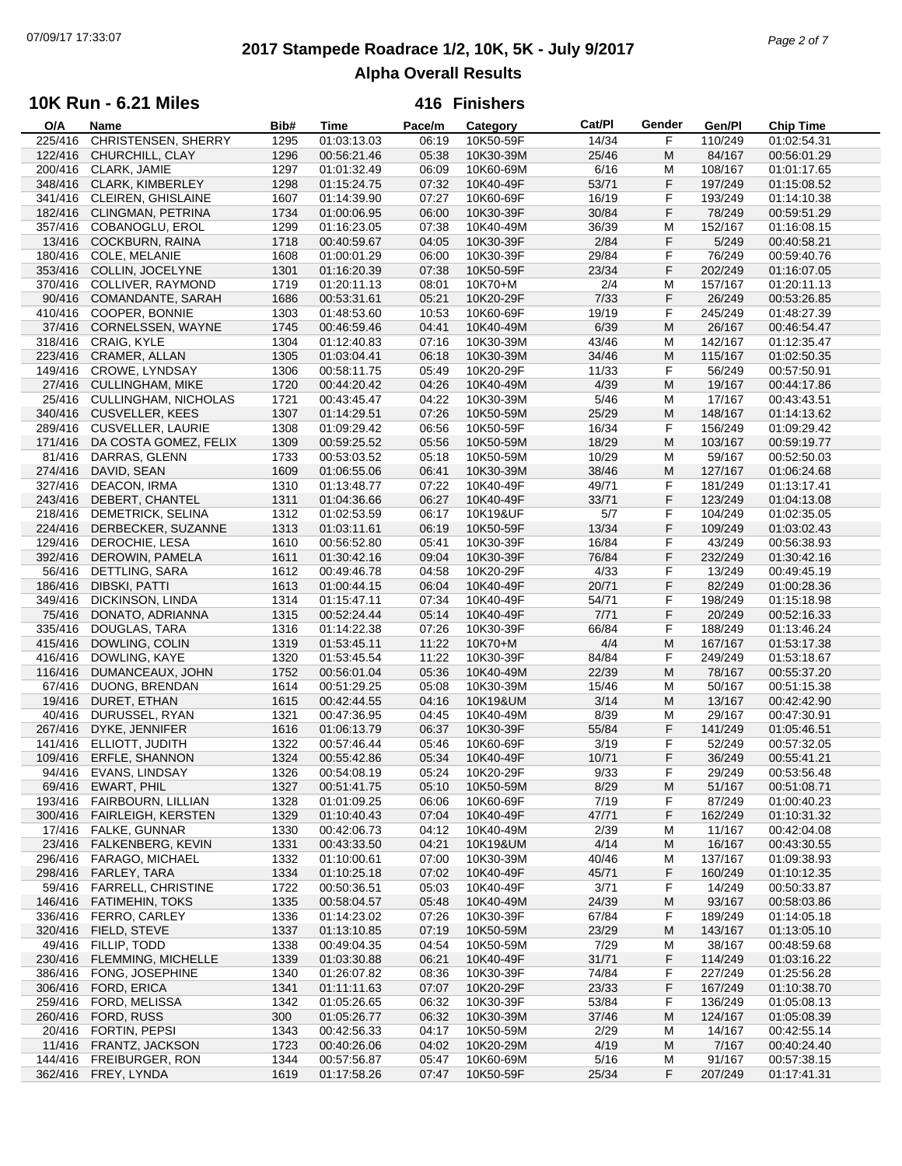# **2017 Stampede Roadrace 1/2, 10K, 5K - July 9/2017** 07/09/17 17:33:07 *Page 2 of 7* **Alpha Overall Results**

### **10K Run - 6.21 Miles**

| O/A     | Name                      | Bib# | Time        | Pace/m | Category  | Cat/Pl | Gender | Gen/Pl  | Chip Time   |  |
|---------|---------------------------|------|-------------|--------|-----------|--------|--------|---------|-------------|--|
| 225/416 | CHRISTENSEN, SHERRY       | 1295 | 01:03:13.03 | 06:19  | 10K50-59F | 14/34  | F      | 110/249 | 01:02:54.31 |  |
| 122/416 | CHURCHILL, CLAY           | 1296 | 00:56:21.46 | 05:38  | 10K30-39M | 25/46  | M      | 84/167  | 00:56:01.29 |  |
| 200/416 | CLARK, JAMIE              | 1297 | 01:01:32.49 | 06:09  | 10K60-69M | 6/16   | M      | 108/167 | 01:01:17.65 |  |
| 348/416 | CLARK, KIMBERLEY          | 1298 | 01:15:24.75 | 07:32  | 10K40-49F | 53/71  | F      | 197/249 | 01:15:08.52 |  |
|         | CLEIREN, GHISLAINE        | 1607 |             | 07:27  | 10K60-69F | 16/19  | F      |         |             |  |
| 341/416 |                           |      | 01:14:39.90 |        |           |        |        | 193/249 | 01:14:10.38 |  |
| 182/416 | <b>CLINGMAN, PETRINA</b>  | 1734 | 01:00:06.95 | 06:00  | 10K30-39F | 30/84  | F      | 78/249  | 00:59:51.29 |  |
| 357/416 | COBANOGLU, EROL           | 1299 | 01:16:23.05 | 07:38  | 10K40-49M | 36/39  | M      | 152/167 | 01:16:08.15 |  |
| 13/416  | <b>COCKBURN, RAINA</b>    | 1718 | 00:40:59.67 | 04:05  | 10K30-39F | 2/84   | F      | 5/249   | 00:40:58.21 |  |
| 180/416 | COLE, MELANIE             | 1608 | 01:00:01.29 | 06:00  | 10K30-39F | 29/84  | F      | 76/249  | 00:59:40.76 |  |
| 353/416 | COLLIN, JOCELYNE          | 1301 | 01:16:20.39 | 07:38  | 10K50-59F | 23/34  | F      | 202/249 | 01:16:07.05 |  |
| 370/416 | COLLIVER, RAYMOND         | 1719 | 01:20:11.13 | 08:01  | 10K70+M   | 2/4    | M      | 157/167 | 01:20:11.13 |  |
| 90/416  | COMANDANTE, SARAH         | 1686 | 00:53:31.61 | 05:21  | 10K20-29F | 7/33   | F      | 26/249  | 00:53:26.85 |  |
|         |                           |      |             |        |           |        |        |         |             |  |
| 410/416 | COOPER, BONNIE            | 1303 | 01:48:53.60 | 10:53  | 10K60-69F | 19/19  | F      | 245/249 | 01:48:27.39 |  |
| 37/416  | CORNELSSEN, WAYNE         | 1745 | 00:46:59.46 | 04:41  | 10K40-49M | 6/39   | M      | 26/167  | 00:46:54.47 |  |
| 318/416 | CRAIG, KYLE               | 1304 | 01:12:40.83 | 07:16  | 10K30-39M | 43/46  | M      | 142/167 | 01:12:35.47 |  |
|         | 223/416 CRAMER, ALLAN     | 1305 | 01:03:04.41 | 06:18  | 10K30-39M | 34/46  | M      | 115/167 | 01:02:50.35 |  |
| 149/416 | <b>CROWE, LYNDSAY</b>     | 1306 | 00:58:11.75 | 05:49  | 10K20-29F | 11/33  | F      | 56/249  | 00:57:50.91 |  |
| 27/416  | <b>CULLINGHAM, MIKE</b>   | 1720 | 00:44:20.42 | 04:26  | 10K40-49M | 4/39   | M      | 19/167  | 00:44:17.86 |  |
| 25/416  | CULLINGHAM, NICHOLAS      | 1721 | 00:43:45.47 | 04:22  | 10K30-39M | 5/46   | м      | 17/167  | 00:43:43.51 |  |
|         |                           |      |             | 07:26  |           | 25/29  | M      | 148/167 |             |  |
| 340/416 | <b>CUSVELLER, KEES</b>    | 1307 | 01:14:29.51 |        | 10K50-59M |        |        |         | 01:14:13.62 |  |
| 289/416 | <b>CUSVELLER, LAURIE</b>  | 1308 | 01:09:29.42 | 06:56  | 10K50-59F | 16/34  | F      | 156/249 | 01:09:29.42 |  |
| 171/416 | DA COSTA GOMEZ, FELIX     | 1309 | 00:59:25.52 | 05:56  | 10K50-59M | 18/29  | M      | 103/167 | 00:59:19.77 |  |
| 81/416  | DARRAS, GLENN             | 1733 | 00:53:03.52 | 05:18  | 10K50-59M | 10/29  | м      | 59/167  | 00:52:50.03 |  |
| 274/416 | DAVID, SEAN               | 1609 | 01:06:55.06 | 06:41  | 10K30-39M | 38/46  | M      | 127/167 | 01:06:24.68 |  |
| 327/416 | DEACON, IRMA              | 1310 | 01:13:48.77 | 07:22  | 10K40-49F | 49/71  | F      | 181/249 | 01:13:17.41 |  |
| 243/416 | DEBERT, CHANTEL           | 1311 | 01:04:36.66 | 06:27  | 10K40-49F | 33/71  | F      | 123/249 | 01:04:13.08 |  |
| 218/416 | <b>DEMETRICK, SELINA</b>  | 1312 | 01:02:53.59 | 06:17  | 10K19&UF  | 5/7    | F      | 104/249 | 01:02:35.05 |  |
|         |                           |      |             |        |           |        |        |         |             |  |
| 224/416 | DERBECKER, SUZANNE        | 1313 | 01:03:11.61 | 06:19  | 10K50-59F | 13/34  | F      | 109/249 | 01:03:02.43 |  |
| 129/416 | DEROCHIE, LESA            | 1610 | 00:56:52.80 | 05:41  | 10K30-39F | 16/84  | F      | 43/249  | 00:56:38.93 |  |
| 392/416 | DEROWIN, PAMELA           | 1611 | 01:30:42.16 | 09:04  | 10K30-39F | 76/84  | F      | 232/249 | 01:30:42.16 |  |
| 56/416  | DETTLING, SARA            | 1612 | 00:49:46.78 | 04:58  | 10K20-29F | 4/33   | F      | 13/249  | 00:49:45.19 |  |
| 186/416 | DIBSKI, PATTI             | 1613 | 01:00:44.15 | 06:04  | 10K40-49F | 20/71  | F      | 82/249  | 01:00:28.36 |  |
| 349/416 | DICKINSON, LINDA          | 1314 | 01:15:47.11 | 07:34  | 10K40-49F | 54/71  | F      | 198/249 | 01:15:18.98 |  |
| 75/416  | DONATO, ADRIANNA          | 1315 | 00:52:24.44 | 05:14  | 10K40-49F | 7/71   | F      | 20/249  | 00:52:16.33 |  |
|         |                           |      |             |        |           | 66/84  | F      |         |             |  |
| 335/416 | DOUGLAS, TARA             | 1316 | 01:14:22.38 | 07:26  | 10K30-39F |        |        | 188/249 | 01:13:46.24 |  |
| 415/416 | DOWLING, COLIN            | 1319 | 01:53:45.11 | 11:22  | 10K70+M   | 4/4    | M      | 167/167 | 01:53:17.38 |  |
| 416/416 | DOWLING, KAYE             | 1320 | 01:53:45.54 | 11:22  | 10K30-39F | 84/84  | F      | 249/249 | 01:53:18.67 |  |
| 116/416 | DUMANCEAUX, JOHN          | 1752 | 00:56:01.04 | 05:36  | 10K40-49M | 22/39  | M      | 78/167  | 00:55:37.20 |  |
| 67/416  | DUONG, BRENDAN            | 1614 | 00:51:29.25 | 05:08  | 10K30-39M | 15/46  | м      | 50/167  | 00:51:15.38 |  |
| 19/416  | DURET, ETHAN              | 1615 | 00:42:44.55 | 04:16  | 10K19&UM  | 3/14   | M      | 13/167  | 00:42:42.90 |  |
| 40/416  | DURUSSEL, RYAN            | 1321 | 00:47:36.95 | 04:45  | 10K40-49M | 8/39   | M      | 29/167  | 00:47:30.91 |  |
| 267/416 | DYKE, JENNIFER            | 1616 | 01:06:13.79 | 06:37  | 10K30-39F | 55/84  | F      | 141/249 | 01:05:46.51 |  |
| 141/416 | ELLIOTT, JUDITH           | 1322 | 00:57:46.44 | 05:46  | 10K60-69F | 3/19   | F      | 52/249  | 00:57:32.05 |  |
|         |                           |      |             |        |           |        |        |         |             |  |
| 109/416 | <b>ERFLE, SHANNON</b>     | 1324 | 00:55:42.86 | 05:34  | 10K40-49F | 10/71  | F      | 36/249  | 00:55:41.21 |  |
|         | 94/416 EVANS, LINDSAY     | 1326 | 00:54:08.19 | 05:24  | 10K20-29F | 9/33   | F      | 29/249  | 00:53:56.48 |  |
|         | 69/416 EWART, PHIL        | 1327 | 00:51:41.75 | 05:10  | 10K50-59M | 8/29   | M      | 51/167  | 00:51:08.71 |  |
| 193/416 | <b>FAIRBOURN, LILLIAN</b> | 1328 | 01:01:09.25 | 06:06  | 10K60-69F | 7/19   | F      | 87/249  | 01:00:40.23 |  |
| 300/416 | <b>FAIRLEIGH, KERSTEN</b> | 1329 | 01:10:40.43 | 07:04  | 10K40-49F | 47/71  | F      | 162/249 | 01:10:31.32 |  |
| 17/416  | <b>FALKE, GUNNAR</b>      | 1330 | 00:42:06.73 | 04:12  | 10K40-49M | 2/39   | M      | 11/167  | 00:42:04.08 |  |
| 23/416  | FALKENBERG, KEVIN         | 1331 | 00:43:33.50 | 04:21  | 10K19&UM  | 4/14   | M      | 16/167  | 00:43:30.55 |  |
| 296/416 | FARAGO, MICHAEL           | 1332 | 01:10:00.61 | 07:00  | 10K30-39M | 40/46  |        | 137/167 | 01:09:38.93 |  |
|         |                           |      |             |        |           |        | м      |         |             |  |
| 298/416 | FARLEY, TARA              | 1334 | 01:10:25.18 | 07:02  | 10K40-49F | 45/71  | F      | 160/249 | 01:10:12.35 |  |
| 59/416  | <b>FARRELL, CHRISTINE</b> | 1722 | 00:50:36.51 | 05:03  | 10K40-49F | 3/71   | F      | 14/249  | 00:50:33.87 |  |
| 146/416 | <b>FATIMEHIN, TOKS</b>    | 1335 | 00:58:04.57 | 05:48  | 10K40-49M | 24/39  | M      | 93/167  | 00:58:03.86 |  |
| 336/416 | FERRO, CARLEY             | 1336 | 01:14:23.02 | 07:26  | 10K30-39F | 67/84  | F      | 189/249 | 01:14:05.18 |  |
| 320/416 | FIELD, STEVE              | 1337 | 01:13:10.85 | 07:19  | 10K50-59M | 23/29  | M      | 143/167 | 01:13:05.10 |  |
| 49/416  | FILLIP, TODD              | 1338 | 00:49:04.35 | 04:54  | 10K50-59M | 7/29   | M      | 38/167  | 00:48:59.68 |  |
| 230/416 | FLEMMING, MICHELLE        | 1339 | 01:03:30.88 | 06:21  | 10K40-49F | 31/71  | F      | 114/249 | 01:03:16.22 |  |
|         |                           |      |             |        |           |        | F      |         |             |  |
| 386/416 | FONG, JOSEPHINE           | 1340 | 01:26:07.82 | 08:36  | 10K30-39F | 74/84  |        | 227/249 | 01:25:56.28 |  |
| 306/416 | FORD, ERICA               | 1341 | 01:11:11.63 | 07:07  | 10K20-29F | 23/33  | F      | 167/249 | 01:10:38.70 |  |
| 259/416 | FORD, MELISSA             | 1342 | 01:05:26.65 | 06:32  | 10K30-39F | 53/84  | F      | 136/249 | 01:05:08.13 |  |
| 260/416 | FORD, RUSS                | 300  | 01:05:26.77 | 06:32  | 10K30-39M | 37/46  | M      | 124/167 | 01:05:08.39 |  |
| 20/416  | FORTIN, PEPSI             | 1343 | 00:42:56.33 | 04:17  | 10K50-59M | 2/29   | м      | 14/167  | 00:42:55.14 |  |
| 11/416  | FRANTZ, JACKSON           | 1723 | 00:40:26.06 | 04:02  | 10K20-29M | 4/19   | M      | 7/167   | 00:40:24.40 |  |
| 144/416 | FREIBURGER, RON           | 1344 | 00:57:56.87 | 05:47  | 10K60-69M | 5/16   | M      | 91/167  | 00:57:38.15 |  |
|         | 362/416 FREY, LYNDA       | 1619 | 01:17:58.26 | 07:47  | 10K50-59F | 25/34  | F      | 207/249 | 01:17:41.31 |  |
|         |                           |      |             |        |           |        |        |         |             |  |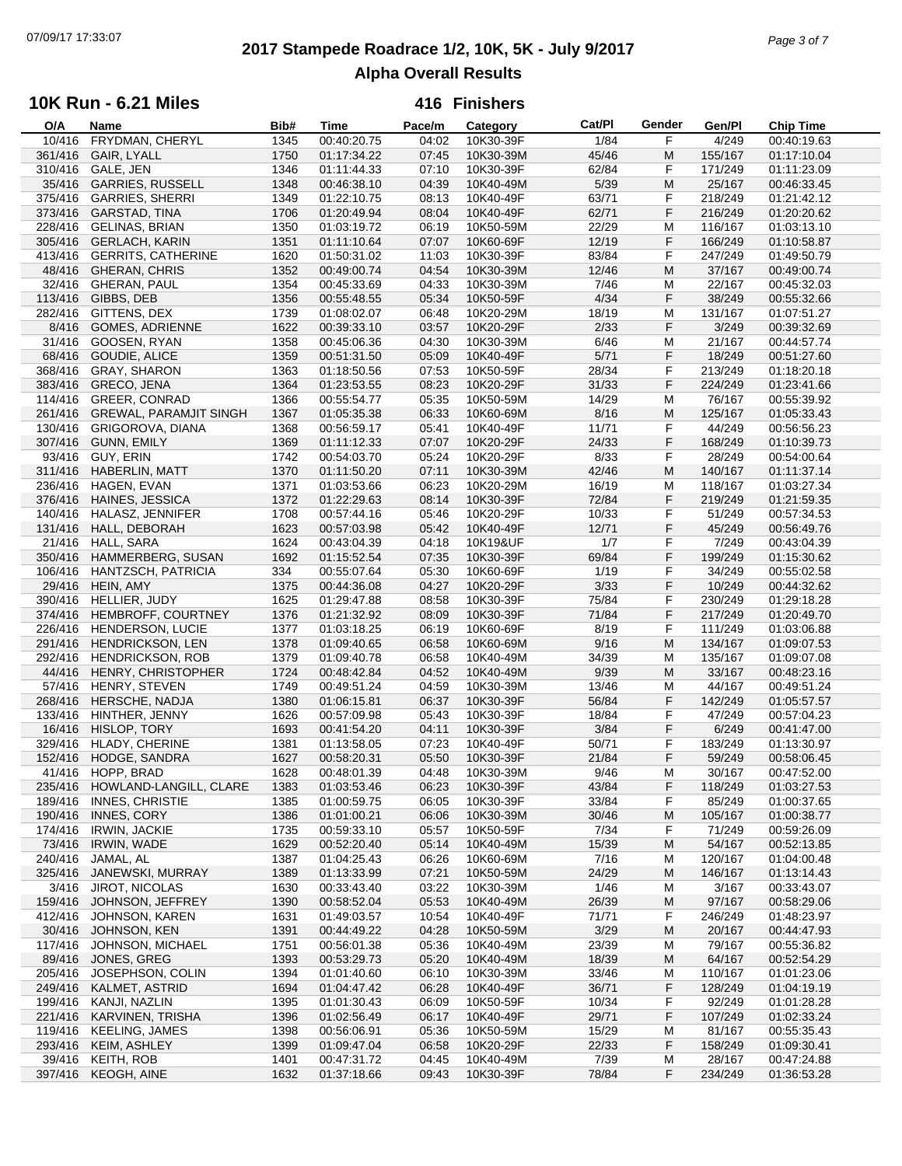# **2017 Stampede Roadrace 1/2, 10K, 5K - July 9/2017** 07/09/17 17:33:07 *Page 3 of 7* **Alpha Overall Results**

### **10K Run - 6.21 Miles**

| O/A     | Name                          | Bib# | Time        | Pace/m | Category  | Cat/PI | Gender | Gen/Pl  | <b>Chip Time</b> |
|---------|-------------------------------|------|-------------|--------|-----------|--------|--------|---------|------------------|
| 10/416  | FRYDMAN, CHERYL               | 1345 | 00:40:20.75 | 04:02  | 10K30-39F | 1/84   | F      | 4/249   | 00:40:19.63      |
| 361/416 | <b>GAIR, LYALL</b>            | 1750 | 01:17:34.22 | 07:45  | 10K30-39M | 45/46  | M      | 155/167 | 01:17:10.04      |
| 310/416 | GALE, JEN                     | 1346 | 01:11:44.33 | 07:10  | 10K30-39F | 62/84  | F      | 171/249 | 01:11:23.09      |
| 35/416  | <b>GARRIES, RUSSELL</b>       | 1348 | 00:46:38.10 | 04:39  | 10K40-49M | 5/39   | M      | 25/167  | 00:46:33.45      |
| 375/416 | <b>GARRIES, SHERRI</b>        | 1349 | 01:22:10.75 | 08:13  | 10K40-49F | 63/71  | F      | 218/249 | 01:21:42.12      |
| 373/416 | GARSTAD, TINA                 | 1706 | 01:20:49.94 | 08:04  | 10K40-49F | 62/71  | F      | 216/249 | 01:20:20.62      |
|         |                               |      |             |        |           |        |        |         |                  |
| 228/416 | <b>GELINAS, BRIAN</b>         | 1350 | 01:03:19.72 | 06:19  | 10K50-59M | 22/29  | M      | 116/167 | 01:03:13.10      |
| 305/416 | <b>GERLACH, KARIN</b>         | 1351 | 01:11:10.64 | 07:07  | 10K60-69F | 12/19  | F      | 166/249 | 01:10:58.87      |
| 413/416 | <b>GERRITS, CATHERINE</b>     | 1620 | 01:50:31.02 | 11:03  | 10K30-39F | 83/84  | F      | 247/249 | 01:49:50.79      |
| 48/416  | <b>GHERAN, CHRIS</b>          | 1352 | 00:49:00.74 | 04:54  | 10K30-39M | 12/46  | M      | 37/167  | 00:49:00.74      |
| 32/416  | <b>GHERAN, PAUL</b>           | 1354 | 00:45:33.69 | 04:33  | 10K30-39M | 7/46   | M      | 22/167  | 00:45:32.03      |
| 113/416 | GIBBS, DEB                    | 1356 | 00:55:48.55 | 05:34  | 10K50-59F | 4/34   | F      | 38/249  | 00:55:32.66      |
| 282/416 | GITTENS, DEX                  | 1739 | 01:08:02.07 | 06:48  | 10K20-29M | 18/19  | M      | 131/167 | 01:07:51.27      |
| 8/416   | <b>GOMES, ADRIENNE</b>        | 1622 | 00:39:33.10 | 03:57  | 10K20-29F | 2/33   | F      | 3/249   | 00:39:32.69      |
| 31/416  | GOOSEN, RYAN                  | 1358 | 00:45:06.36 | 04:30  | 10K30-39M | 6/46   | M      | 21/167  | 00:44:57.74      |
|         |                               |      |             |        |           |        |        |         |                  |
| 68/416  | GOUDIE, ALICE                 | 1359 | 00:51:31.50 | 05:09  | 10K40-49F | 5/71   | F      | 18/249  | 00:51:27.60      |
| 368/416 | <b>GRAY, SHARON</b>           | 1363 | 01:18:50.56 | 07:53  | 10K50-59F | 28/34  | F      | 213/249 | 01:18:20.18      |
| 383/416 | GRECO, JENA                   | 1364 | 01:23:53.55 | 08:23  | 10K20-29F | 31/33  | F.     | 224/249 | 01:23:41.66      |
| 114/416 | <b>GREER, CONRAD</b>          | 1366 | 00:55:54.77 | 05:35  | 10K50-59M | 14/29  | M      | 76/167  | 00:55:39.92      |
| 261/416 | <b>GREWAL, PARAMJIT SINGH</b> | 1367 | 01:05:35.38 | 06:33  | 10K60-69M | 8/16   | M      | 125/167 | 01:05:33.43      |
| 130/416 | <b>GRIGOROVA, DIANA</b>       | 1368 | 00:56:59.17 | 05:41  | 10K40-49F | 11/71  | F      | 44/249  | 00:56:56.23      |
| 307/416 | <b>GUNN, EMILY</b>            | 1369 | 01:11:12.33 | 07:07  | 10K20-29F | 24/33  | F      | 168/249 | 01:10:39.73      |
| 93/416  | GUY, ERIN                     | 1742 | 00:54:03.70 | 05:24  | 10K20-29F | 8/33   | F      | 28/249  | 00:54:00.64      |
| 311/416 | HABERLIN, MATT                | 1370 | 01:11:50.20 | 07:11  | 10K30-39M | 42/46  | M      | 140/167 | 01:11:37.14      |
|         | HAGEN, EVAN                   |      | 01:03:53.66 |        |           |        |        |         |                  |
| 236/416 |                               | 1371 |             | 06:23  | 10K20-29M | 16/19  | M      | 118/167 | 01:03:27.34      |
| 376/416 | HAINES, JESSICA               | 1372 | 01:22:29.63 | 08:14  | 10K30-39F | 72/84  | F      | 219/249 | 01:21:59.35      |
| 140/416 | HALASZ, JENNIFER              | 1708 | 00:57:44.16 | 05:46  | 10K20-29F | 10/33  | F      | 51/249  | 00:57:34.53      |
| 131/416 | HALL, DEBORAH                 | 1623 | 00:57:03.98 | 05:42  | 10K40-49F | 12/71  | F      | 45/249  | 00:56:49.76      |
| 21/416  | HALL, SARA                    | 1624 | 00:43:04.39 | 04:18  | 10K19&UF  | 1/7    | F      | 7/249   | 00:43:04.39      |
| 350/416 | HAMMERBERG, SUSAN             | 1692 | 01:15:52.54 | 07:35  | 10K30-39F | 69/84  | F      | 199/249 | 01:15:30.62      |
| 106/416 | HANTZSCH, PATRICIA            | 334  | 00:55:07.64 | 05:30  | 10K60-69F | 1/19   | F      | 34/249  | 00:55:02.58      |
| 29/416  | HEIN, AMY                     | 1375 | 00:44:36.08 | 04:27  | 10K20-29F | 3/33   | F      | 10/249  | 00:44:32.62      |
| 390/416 | HELLIER, JUDY                 | 1625 | 01:29:47.88 | 08:58  | 10K30-39F | 75/84  | F      | 230/249 | 01:29:18.28      |
| 374/416 | HEMBROFF, COURTNEY            | 1376 | 01:21:32.92 | 08:09  | 10K30-39F | 71/84  | F      | 217/249 | 01:20:49.70      |
| 226/416 | <b>HENDERSON, LUCIE</b>       | 1377 | 01:03:18.25 | 06:19  | 10K60-69F | 8/19   | F      | 111/249 | 01:03:06.88      |
| 291/416 | <b>HENDRICKSON, LEN</b>       | 1378 | 01:09:40.65 | 06:58  | 10K60-69M | 9/16   | M      | 134/167 | 01:09:07.53      |
| 292/416 | <b>HENDRICKSON, ROB</b>       | 1379 | 01:09:40.78 | 06:58  | 10K40-49M | 34/39  | M      | 135/167 | 01:09:07.08      |
|         |                               |      |             | 04:52  |           | 9/39   | M      |         |                  |
| 44/416  | HENRY, CHRISTOPHER            | 1724 | 00:48:42.84 |        | 10K40-49M |        |        | 33/167  | 00:48:23.16      |
| 57/416  | HENRY, STEVEN                 | 1749 | 00:49:51.24 | 04:59  | 10K30-39M | 13/46  | M      | 44/167  | 00:49:51.24      |
| 268/416 | HERSCHE, NADJA                | 1380 | 01:06:15.81 | 06:37  | 10K30-39F | 56/84  | F      | 142/249 | 01:05:57.57      |
| 133/416 | HINTHER, JENNY                | 1626 | 00:57:09.98 | 05:43  | 10K30-39F | 18/84  | F      | 47/249  | 00:57:04.23      |
| 16/416  | HISLOP, TORY                  | 1693 | 00:41:54.20 | 04:11  | 10K30-39F | 3/84   | F      | 6/249   | 00:41:47.00      |
| 329/416 | HLADY, CHERINE                | 1381 | 01:13:58.05 | 07:23  | 10K40-49F | 50/71  | F      | 183/249 | 01:13:30.97      |
| 152/416 | HODGE, SANDRA                 | 1627 | 00:58:20.31 | 05:50  | 10K30-39F | 21/84  | F      | 59/249  | 00:58:06.45      |
|         | 41/416 HOPP, BRAD             | 1628 | 00:48:01.39 | 04:48  | 10K30-39M | 9/46   | M      | 30/167  | 00:47:52.00      |
| 235/416 | HOWLAND-LANGILL, CLARE        | 1383 | 01:03:53.46 | 06:23  | 10K30-39F | 43/84  | F      | 118/249 | 01:03:27.53      |
| 189/416 | <b>INNES, CHRISTIE</b>        | 1385 | 01:00:59.75 | 06:05  | 10K30-39F | 33/84  | F      | 85/249  | 01:00:37.65      |
| 190/416 | INNES, CORY                   | 1386 | 01:01:00.21 | 06:06  | 10K30-39M | 30/46  | M      | 105/167 | 01:00:38.77      |
| 174/416 | <b>IRWIN, JACKIE</b>          | 1735 | 00:59:33.10 | 05:57  | 10K50-59F | 7/34   | F      | 71/249  | 00:59:26.09      |
| 73/416  | IRWIN, WADE                   | 1629 | 00:52:20.40 | 05:14  | 10K40-49M | 15/39  | M      | 54/167  | 00:52:13.85      |
|         |                               |      |             |        |           |        |        |         |                  |
| 240/416 | JAMAL, AL                     | 1387 | 01:04:25.43 | 06:26  | 10K60-69M | 7/16   | M      | 120/167 | 01:04:00.48      |
| 325/416 | JANEWSKI, MURRAY              | 1389 | 01:13:33.99 | 07:21  | 10K50-59M | 24/29  | M      | 146/167 | 01:13:14.43      |
| 3/416   | <b>JIROT, NICOLAS</b>         | 1630 | 00:33:43.40 | 03:22  | 10K30-39M | 1/46   | M      | 3/167   | 00:33:43.07      |
| 159/416 | JOHNSON, JEFFREY              | 1390 | 00:58:52.04 | 05:53  | 10K40-49M | 26/39  | M      | 97/167  | 00:58:29.06      |
| 412/416 | JOHNSON, KAREN                | 1631 | 01:49:03.57 | 10:54  | 10K40-49F | 71/71  | F      | 246/249 | 01:48:23.97      |
| 30/416  | JOHNSON, KEN                  | 1391 | 00:44:49.22 | 04:28  | 10K50-59M | 3/29   | M      | 20/167  | 00:44:47.93      |
| 117/416 | JOHNSON, MICHAEL              | 1751 | 00:56:01.38 | 05:36  | 10K40-49M | 23/39  | M      | 79/167  | 00:55:36.82      |
| 89/416  | JONES, GREG                   | 1393 | 00:53:29.73 | 05:20  | 10K40-49M | 18/39  | M      | 64/167  | 00:52:54.29      |
| 205/416 | JOSEPHSON, COLIN              | 1394 | 01:01:40.60 | 06:10  | 10K30-39M | 33/46  | M      | 110/167 | 01:01:23.06      |
| 249/416 | KALMET, ASTRID                | 1694 | 01:04:47.42 | 06:28  | 10K40-49F | 36/71  | F      | 128/249 | 01:04:19.19      |
| 199/416 | KANJI, NAZLIN                 | 1395 | 01:01:30.43 | 06:09  | 10K50-59F | 10/34  | F      | 92/249  | 01:01:28.28      |
|         |                               |      |             |        |           |        |        |         |                  |
| 221/416 | KARVINEN, TRISHA              | 1396 | 01:02:56.49 | 06:17  | 10K40-49F | 29/71  | F      | 107/249 | 01:02:33.24      |
| 119/416 | <b>KEELING, JAMES</b>         | 1398 | 00:56:06.91 | 05:36  | 10K50-59M | 15/29  | M      | 81/167  | 00:55:35.43      |
| 293/416 | KEIM, ASHLEY                  | 1399 | 01:09:47.04 | 06:58  | 10K20-29F | 22/33  | F      | 158/249 | 01:09:30.41      |
| 39/416  | KEITH, ROB                    | 1401 | 00:47:31.72 | 04:45  | 10K40-49M | 7/39   | M      | 28/167  | 00:47:24.88      |
|         | 397/416 KEOGH, AINE           | 1632 | 01:37:18.66 | 09:43  | 10K30-39F | 78/84  | F      | 234/249 | 01:36:53.28      |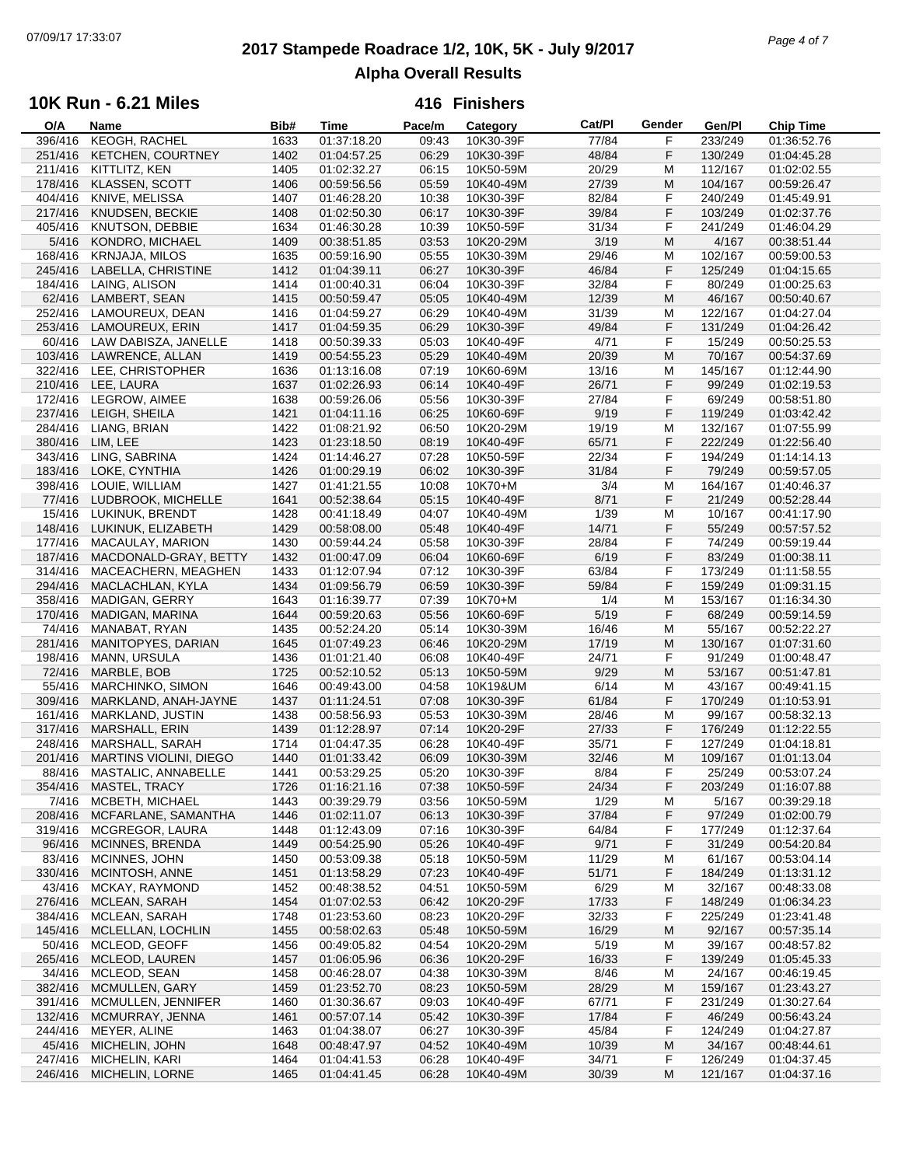# **2017 Stampede Roadrace 1/2, 10K, 5K - July 9/2017** 07/09/17 17:33:07 *Page 4 of 7* **Alpha Overall Results**

### **10K Run - 6.21 Miles**

| O/A     | Name                     | Bib# | <b>Time</b> | Pace/m | Category  | Cat/PI | Gender | Gen/Pl  | <b>Chip Time</b> |
|---------|--------------------------|------|-------------|--------|-----------|--------|--------|---------|------------------|
| 396/416 | KEOGH, RACHEL            | 1633 | 01:37:18.20 | 09:43  | 10K30-39F | 77/84  | F      | 233/249 | 01:36:52.76      |
| 251/416 | <b>KETCHEN, COURTNEY</b> | 1402 | 01:04:57.25 | 06:29  | 10K30-39F | 48/84  | F      | 130/249 | 01:04:45.28      |
| 211/416 | KITTLITZ, KEN            | 1405 | 01:02:32.27 | 06:15  | 10K50-59M | 20/29  | M      | 112/167 | 01:02:02.55      |
| 178/416 | KLASSEN, SCOTT           | 1406 | 00:59:56.56 | 05:59  | 10K40-49M | 27/39  | M      | 104/167 | 00:59:26.47      |
| 404/416 | KNIVE, MELISSA           | 1407 | 01:46:28.20 | 10:38  | 10K30-39F | 82/84  | F      | 240/249 | 01:45:49.91      |
| 217/416 | KNUDSEN, BECKIE          | 1408 | 01:02:50.30 | 06:17  | 10K30-39F | 39/84  | F      | 103/249 | 01:02:37.76      |
| 405/416 | KNUTSON, DEBBIE          | 1634 | 01:46:30.28 | 10:39  | 10K50-59F | 31/34  | F      | 241/249 | 01:46:04.29      |
|         |                          | 1409 |             | 03:53  |           |        | M      | 4/167   |                  |
| 5/416   | KONDRO, MICHAEL          |      | 00:38:51.85 |        | 10K20-29M | 3/19   |        |         | 00:38:51.44      |
| 168/416 | KRNJAJA, MILOS           | 1635 | 00:59:16.90 | 05:55  | 10K30-39M | 29/46  | М      | 102/167 | 00:59:00.53      |
| 245/416 | LABELLA, CHRISTINE       | 1412 | 01:04:39.11 | 06:27  | 10K30-39F | 46/84  | F      | 125/249 | 01:04:15.65      |
| 184/416 | LAING, ALISON            | 1414 | 01:00:40.31 | 06:04  | 10K30-39F | 32/84  | F      | 80/249  | 01:00:25.63      |
| 62/416  | LAMBERT, SEAN            | 1415 | 00:50:59.47 | 05:05  | 10K40-49M | 12/39  | M      | 46/167  | 00:50:40.67      |
| 252/416 | LAMOUREUX, DEAN          | 1416 | 01:04:59.27 | 06:29  | 10K40-49M | 31/39  | M      | 122/167 | 01:04:27.04      |
| 253/416 | LAMOUREUX, ERIN          | 1417 | 01:04:59.35 | 06:29  | 10K30-39F | 49/84  | F      | 131/249 | 01:04:26.42      |
| 60/416  | LAW DABISZA, JANELLE     | 1418 | 00:50:39.33 | 05:03  | 10K40-49F | 4/71   | F      | 15/249  | 00:50:25.53      |
| 103/416 | LAWRENCE, ALLAN          | 1419 | 00:54:55.23 | 05:29  | 10K40-49M | 20/39  | M      | 70/167  | 00:54:37.69      |
| 322/416 | LEE, CHRISTOPHER         | 1636 | 01:13:16.08 | 07:19  | 10K60-69M | 13/16  | М      | 145/167 | 01:12:44.90      |
| 210/416 | LEE, LAURA               | 1637 | 01:02:26.93 | 06:14  | 10K40-49F | 26/71  | F      | 99/249  | 01:02:19.53      |
| 172/416 | LEGROW, AIMEE            | 1638 | 00:59:26.06 | 05:56  | 10K30-39F | 27/84  | F      | 69/249  | 00:58:51.80      |
|         |                          |      |             |        |           |        |        |         |                  |
| 237/416 | LEIGH, SHEILA            | 1421 | 01:04:11.16 | 06:25  | 10K60-69F | 9/19   | F      | 119/249 | 01:03:42.42      |
| 284/416 | LIANG, BRIAN             | 1422 | 01:08:21.92 | 06:50  | 10K20-29M | 19/19  | М      | 132/167 | 01:07:55.99      |
| 380/416 | LIM, LEE                 | 1423 | 01:23:18.50 | 08:19  | 10K40-49F | 65/71  | F      | 222/249 | 01:22:56.40      |
| 343/416 | LING, SABRINA            | 1424 | 01:14:46.27 | 07:28  | 10K50-59F | 22/34  | F      | 194/249 | 01:14:14.13      |
| 183/416 | LOKE, CYNTHIA            | 1426 | 01:00:29.19 | 06:02  | 10K30-39F | 31/84  | F      | 79/249  | 00:59:57.05      |
| 398/416 | LOUIE, WILLIAM           | 1427 | 01:41:21.55 | 10:08  | 10K70+M   | 3/4    | M      | 164/167 | 01:40:46.37      |
| 77/416  | LUDBROOK, MICHELLE       | 1641 | 00:52:38.64 | 05:15  | 10K40-49F | 8/71   | F      | 21/249  | 00:52:28.44      |
| 15/416  | LUKINUK, BRENDT          | 1428 | 00:41:18.49 | 04:07  | 10K40-49M | 1/39   | M      | 10/167  | 00:41:17.90      |
| 148/416 | LUKINUK, ELIZABETH       | 1429 | 00:58:08.00 | 05:48  | 10K40-49F | 14/71  | F      | 55/249  | 00:57:57.52      |
| 177/416 | MACAULAY, MARION         | 1430 | 00:59:44.24 | 05:58  | 10K30-39F | 28/84  | F      | 74/249  | 00:59:19.44      |
| 187/416 | MACDONALD-GRAY, BETTY    | 1432 | 01:00:47.09 | 06:04  | 10K60-69F | 6/19   | F      | 83/249  | 01:00:38.11      |
|         |                          |      |             |        |           |        |        |         |                  |
| 314/416 | MACEACHERN, MEAGHEN      | 1433 | 01:12:07.94 | 07:12  | 10K30-39F | 63/84  | F      | 173/249 | 01:11:58.55      |
| 294/416 | MACLACHLAN, KYLA         | 1434 | 01:09:56.79 | 06:59  | 10K30-39F | 59/84  | F      | 159/249 | 01:09:31.15      |
| 358/416 | MADIGAN, GERRY           | 1643 | 01:16:39.77 | 07:39  | 10K70+M   | 1/4    | М      | 153/167 | 01:16:34.30      |
| 170/416 | MADIGAN, MARINA          | 1644 | 00:59:20.63 | 05:56  | 10K60-69F | 5/19   | F      | 68/249  | 00:59:14.59      |
| 74/416  | MANABAT, RYAN            | 1435 | 00:52:24.20 | 05:14  | 10K30-39M | 16/46  | M      | 55/167  | 00:52:22.27      |
| 281/416 | MANITOPYES, DARIAN       | 1645 | 01:07:49.23 | 06:46  | 10K20-29M | 17/19  | M      | 130/167 | 01:07:31.60      |
| 198/416 | MANN, URSULA             | 1436 | 01:01:21.40 | 06:08  | 10K40-49F | 24/71  | F      | 91/249  | 01:00:48.47      |
| 72/416  | MARBLE, BOB              | 1725 | 00:52:10.52 | 05:13  | 10K50-59M | 9/29   | M      | 53/167  | 00:51:47.81      |
| 55/416  | MARCHINKO, SIMON         | 1646 | 00:49:43.00 | 04:58  | 10K19&UM  | 6/14   | M      | 43/167  | 00:49:41.15      |
| 309/416 | MARKLAND, ANAH-JAYNE     | 1437 | 01:11:24.51 | 07:08  | 10K30-39F | 61/84  | F      | 170/249 | 01:10:53.91      |
| 161/416 | MARKLAND, JUSTIN         | 1438 | 00:58:56.93 | 05:53  | 10K30-39M | 28/46  | М      | 99/167  | 00:58:32.13      |
| 317/416 | <b>MARSHALL, ERIN</b>    | 1439 | 01:12:28.97 | 07:14  | 10K20-29F | 27/33  | F      | 176/249 | 01:12:22.55      |
|         |                          |      |             | 06:28  |           |        | F      |         |                  |
| 248/416 | MARSHALL, SARAH          | 1714 | 01:04:47.35 |        | 10K40-49F | 35/71  |        | 127/249 | 01:04:18.81      |
| 201/416 | MARTINS VIOLINI, DIEGO   | 1440 | 01:01:33.42 | 06:09  | 10K30-39M | 32/46  | M      | 109/167 | 01:01:13.04      |
| 88/416  | MASTALIC, ANNABELLE      | 1441 | 00:53:29.25 | 05:20  | 10K30-39F | 8/84   | F      | 25/249  | 00:53:07.24      |
| 354/416 | MASTEL, TRACY            | 1726 | 01:16:21.16 | 07:38  | 10K50-59F | 24/34  | F      | 203/249 | 01:16:07.88      |
| 7/416   | MCBETH, MICHAEL          | 1443 | 00:39:29.79 | 03:56  | 10K50-59M | 1/29   | M      | 5/167   | 00:39:29.18      |
| 208/416 | MCFARLANE, SAMANTHA      | 1446 | 01:02:11.07 | 06:13  | 10K30-39F | 37/84  | F      | 97/249  | 01:02:00.79      |
| 319/416 | MCGREGOR, LAURA          | 1448 | 01:12:43.09 | 07:16  | 10K30-39F | 64/84  | F      | 177/249 | 01:12:37.64      |
| 96/416  | MCINNES, BRENDA          | 1449 | 00:54:25.90 | 05:26  | 10K40-49F | 9/71   | F      | 31/249  | 00:54:20.84      |
| 83/416  | MCINNES, JOHN            | 1450 | 00:53:09.38 | 05:18  | 10K50-59M | 11/29  | M      | 61/167  | 00:53:04.14      |
| 330/416 | MCINTOSH, ANNE           | 1451 | 01:13:58.29 | 07:23  | 10K40-49F | 51/71  | F      | 184/249 | 01:13:31.12      |
| 43/416  | MCKAY, RAYMOND           | 1452 | 00:48:38.52 | 04:51  | 10K50-59M | 6/29   | M      | 32/167  | 00:48:33.08      |
| 276/416 | MCLEAN, SARAH            | 1454 | 01:07:02.53 | 06:42  | 10K20-29F | 17/33  | F      | 148/249 | 01:06:34.23      |
| 384/416 | MCLEAN, SARAH            | 1748 | 01:23:53.60 | 08:23  | 10K20-29F | 32/33  | F      | 225/249 |                  |
|         |                          |      |             |        |           |        |        |         | 01:23:41.48      |
| 145/416 | MCLELLAN, LOCHLIN        | 1455 | 00:58:02.63 | 05:48  | 10K50-59M | 16/29  | M      | 92/167  | 00:57:35.14      |
| 50/416  | MCLEOD, GEOFF            | 1456 | 00:49:05.82 | 04:54  | 10K20-29M | 5/19   | M      | 39/167  | 00:48:57.82      |
| 265/416 | MCLEOD, LAUREN           | 1457 | 01:06:05.96 | 06:36  | 10K20-29F | 16/33  | F      | 139/249 | 01:05:45.33      |
| 34/416  | MCLEOD, SEAN             | 1458 | 00:46:28.07 | 04:38  | 10K30-39M | 8/46   | М      | 24/167  | 00:46:19.45      |
| 382/416 | MCMULLEN, GARY           | 1459 | 01:23:52.70 | 08:23  | 10K50-59M | 28/29  | M      | 159/167 | 01:23:43.27      |
| 391/416 | MCMULLEN, JENNIFER       | 1460 | 01:30:36.67 | 09:03  | 10K40-49F | 67/71  | F      | 231/249 | 01:30:27.64      |
| 132/416 | MCMURRAY, JENNA          | 1461 | 00:57:07.14 | 05:42  | 10K30-39F | 17/84  | F      | 46/249  | 00:56:43.24      |
| 244/416 | MEYER, ALINE             | 1463 | 01:04:38.07 | 06:27  | 10K30-39F | 45/84  | F      | 124/249 | 01:04:27.87      |
| 45/416  | MICHELIN, JOHN           | 1648 | 00:48:47.97 | 04:52  | 10K40-49M | 10/39  | M      | 34/167  | 00:48:44.61      |
| 247/416 | MICHELIN, KARI           | 1464 | 01:04:41.53 | 06:28  | 10K40-49F | 34/71  | F      | 126/249 | 01:04:37.45      |
| 246/416 | MICHELIN, LORNE          | 1465 | 01:04:41.45 | 06:28  | 10K40-49M | 30/39  | M      | 121/167 | 01:04:37.16      |
|         |                          |      |             |        |           |        |        |         |                  |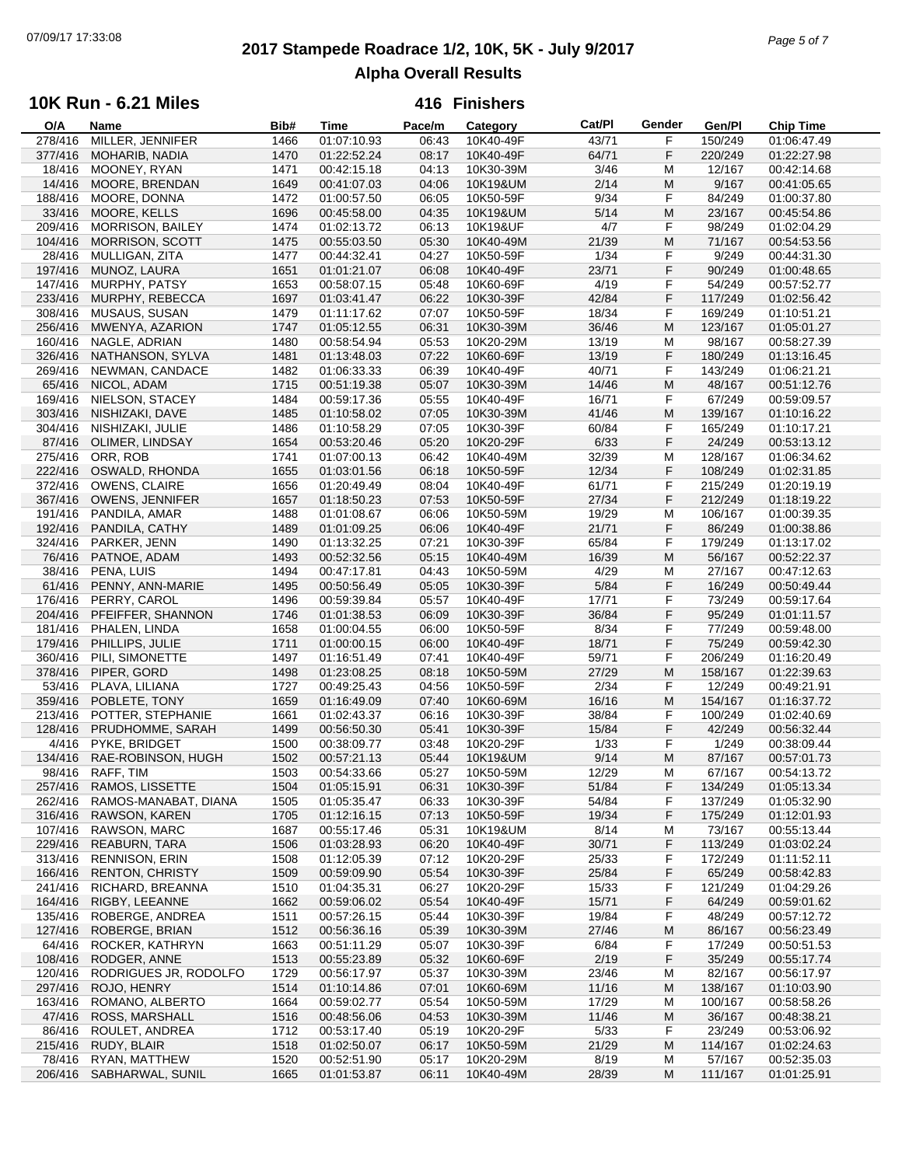# **2017 Stampede Roadrace 1/2, 10K, 5K - July 9/2017** 07/09/17 17:33:08 *Page 5 of 7* **Alpha Overall Results**

### **10K Run - 6.21 Miles**

| O/A     | Name                     | Bib# | Time        | Pace/m | Category  | Cat/Pl | Gender | Gen/Pl  | Chip Time                 |  |
|---------|--------------------------|------|-------------|--------|-----------|--------|--------|---------|---------------------------|--|
| 278/416 | MILLER, JENNIFER         | 1466 | 01:07:10.93 | 06:43  | 10K40-49F | 43/71  | F      | 150/249 | $\overline{01}$ :06:47.49 |  |
| 377/416 | <b>MOHARIB, NADIA</b>    | 1470 | 01:22:52.24 | 08:17  | 10K40-49F | 64/71  | F      | 220/249 | 01:22:27.98               |  |
| 18/416  | MOONEY, RYAN             | 1471 | 00:42:15.18 | 04:13  | 10K30-39M | 3/46   | M      | 12/167  | 00:42:14.68               |  |
| 14/416  | MOORE, BRENDAN           | 1649 | 00:41:07.03 | 04:06  | 10K19&UM  | 2/14   | M      | 9/167   | 00:41:05.65               |  |
|         | MOORE, DONNA             | 1472 |             |        | 10K50-59F |        | F      | 84/249  |                           |  |
| 188/416 |                          |      | 01:00:57.50 | 06:05  |           | 9/34   |        |         | 01:00:37.80               |  |
| 33/416  | MOORE, KELLS             | 1696 | 00:45:58.00 | 04:35  | 10K19&UM  | 5/14   | M      | 23/167  | 00:45:54.86               |  |
| 209/416 | <b>MORRISON, BAILEY</b>  | 1474 | 01:02:13.72 | 06:13  | 10K19&UF  | 4/7    | F      | 98/249  | 01:02:04.29               |  |
| 104/416 | <b>MORRISON, SCOTT</b>   | 1475 | 00:55:03.50 | 05:30  | 10K40-49M | 21/39  | M      | 71/167  | 00:54:53.56               |  |
| 28/416  | MULLIGAN, ZITA           | 1477 | 00:44:32.41 | 04:27  | 10K50-59F | 1/34   | F      | 9/249   | 00:44:31.30               |  |
| 197/416 | MUNOZ, LAURA             | 1651 | 01:01:21.07 | 06:08  | 10K40-49F | 23/71  | F      | 90/249  | 01:00:48.65               |  |
| 147/416 | MURPHY, PATSY            | 1653 | 00:58:07.15 | 05:48  | 10K60-69F | 4/19   | F      | 54/249  | 00:57:52.77               |  |
| 233/416 | MURPHY, REBECCA          | 1697 | 01:03:41.47 | 06:22  | 10K30-39F | 42/84  | F      | 117/249 | 01:02:56.42               |  |
|         |                          |      |             |        |           |        |        |         |                           |  |
| 308/416 | <b>MUSAUS, SUSAN</b>     | 1479 | 01:11:17.62 | 07:07  | 10K50-59F | 18/34  | F      | 169/249 | 01:10:51.21               |  |
| 256/416 | MWENYA, AZARION          | 1747 | 01:05:12.55 | 06:31  | 10K30-39M | 36/46  | M      | 123/167 | 01:05:01.27               |  |
| 160/416 | NAGLE, ADRIAN            | 1480 | 00:58:54.94 | 05:53  | 10K20-29M | 13/19  | M      | 98/167  | 00:58:27.39               |  |
| 326/416 | NATHANSON, SYLVA         | 1481 | 01:13:48.03 | 07:22  | 10K60-69F | 13/19  | F      | 180/249 | 01:13:16.45               |  |
| 269/416 | NEWMAN, CANDACE          | 1482 | 01:06:33.33 | 06:39  | 10K40-49F | 40/71  | F      | 143/249 | 01:06:21.21               |  |
| 65/416  | NICOL, ADAM              | 1715 | 00:51:19.38 | 05:07  | 10K30-39M | 14/46  | M      | 48/167  | 00:51:12.76               |  |
| 169/416 | NIELSON, STACEY          | 1484 | 00:59:17.36 | 05:55  | 10K40-49F | 16/71  | F      | 67/249  | 00:59:09.57               |  |
|         |                          |      |             |        |           |        |        |         |                           |  |
| 303/416 | NISHIZAKI, DAVE          | 1485 | 01:10:58.02 | 07:05  | 10K30-39M | 41/46  | M      | 139/167 | 01:10:16.22               |  |
| 304/416 | NISHIZAKI, JULIE         | 1486 | 01:10:58.29 | 07:05  | 10K30-39F | 60/84  | F      | 165/249 | 01:10:17.21               |  |
| 87/416  | OLIMER, LINDSAY          | 1654 | 00:53:20.46 | 05:20  | 10K20-29F | 6/33   | F      | 24/249  | 00:53:13.12               |  |
| 275/416 | ORR, ROB                 | 1741 | 01:07:00.13 | 06:42  | 10K40-49M | 32/39  | M      | 128/167 | 01:06:34.62               |  |
| 222/416 | OSWALD, RHONDA           | 1655 | 01:03:01.56 | 06:18  | 10K50-59F | 12/34  | F      | 108/249 | 01:02:31.85               |  |
| 372/416 | <b>OWENS, CLAIRE</b>     | 1656 | 01:20:49.49 | 08:04  | 10K40-49F | 61/71  | F      | 215/249 | 01:20:19.19               |  |
| 367/416 | OWENS, JENNIFER          | 1657 | 01:18:50.23 | 07:53  | 10K50-59F | 27/34  | F      | 212/249 | 01:18:19.22               |  |
| 191/416 |                          |      |             |        |           |        |        |         |                           |  |
|         | PANDILA, AMAR            | 1488 | 01:01:08.67 | 06:06  | 10K50-59M | 19/29  | М      | 106/167 | 01:00:39.35               |  |
| 192/416 | PANDILA, CATHY           | 1489 | 01:01:09.25 | 06:06  | 10K40-49F | 21/71  | F      | 86/249  | 01:00:38.86               |  |
| 324/416 | PARKER, JENN             | 1490 | 01:13:32.25 | 07:21  | 10K30-39F | 65/84  | F      | 179/249 | 01:13:17.02               |  |
| 76/416  | PATNOE, ADAM             | 1493 | 00:52:32.56 | 05:15  | 10K40-49M | 16/39  | M      | 56/167  | 00:52:22.37               |  |
| 38/416  | PENA, LUIS               | 1494 | 00:47:17.81 | 04:43  | 10K50-59M | 4/29   | M      | 27/167  | 00:47:12.63               |  |
| 61/416  | PENNY, ANN-MARIE         | 1495 | 00:50:56.49 | 05:05  | 10K30-39F | 5/84   | F      | 16/249  | 00:50:49.44               |  |
| 176/416 | PERRY, CAROL             | 1496 | 00:59:39.84 | 05:57  | 10K40-49F | 17/71  | F      | 73/249  | 00:59:17.64               |  |
| 204/416 | PFEIFFER, SHANNON        | 1746 | 01:01:38.53 | 06:09  | 10K30-39F | 36/84  | F      | 95/249  | 01:01:11.57               |  |
|         |                          |      |             |        |           | 8/34   | F      | 77/249  |                           |  |
| 181/416 | PHALEN, LINDA            | 1658 | 01:00:04.55 | 06:00  | 10K50-59F |        |        |         | 00:59:48.00               |  |
| 179/416 | PHILLIPS, JULIE          | 1711 | 01:00:00.15 | 06:00  | 10K40-49F | 18/71  | F      | 75/249  | 00:59:42.30               |  |
| 360/416 | PILI, SIMONETTE          | 1497 | 01:16:51.49 | 07:41  | 10K40-49F | 59/71  | F      | 206/249 | 01:16:20.49               |  |
| 378/416 | PIPER, GORD              | 1498 | 01:23:08.25 | 08:18  | 10K50-59M | 27/29  | M      | 158/167 | 01:22:39.63               |  |
| 53/416  | PLAVA, LILIANA           | 1727 | 00:49:25.43 | 04:56  | 10K50-59F | 2/34   | F      | 12/249  | 00:49:21.91               |  |
| 359/416 | POBLETE, TONY            | 1659 | 01:16:49.09 | 07:40  | 10K60-69M | 16/16  | M      | 154/167 | 01:16:37.72               |  |
| 213/416 | POTTER, STEPHANIE        | 1661 | 01:02:43.37 | 06:16  | 10K30-39F | 38/84  | F      | 100/249 | 01:02:40.69               |  |
| 128/416 | PRUDHOMME, SARAH         | 1499 | 00:56:50.30 | 05:41  | 10K30-39F | 15/84  | F      | 42/249  | 00:56:32.44               |  |
|         |                          |      |             |        |           |        |        |         |                           |  |
| 4/416   | PYKE, BRIDGET            | 1500 | 00:38:09.77 | 03:48  | 10K20-29F | 1/33   | F      | 1/249   | 00:38:09.44               |  |
| 134/416 | RAE-ROBINSON, HUGH       | 1502 | 00:57:21.13 | 05:44  | 10K19&UM  | 9/14   | M      | 87/167  | 00:57:01.73               |  |
| 98/416  | RAFF, TIM                | 1503 | 00:54:33.66 | 05:27  | 10K50-59M | 12/29  | M      | 67/167  | 00:54:13.72               |  |
| 257/416 | <b>RAMOS, LISSETTE</b>   | 1504 | 01:05:15.91 | 06:31  | 10K30-39F | 51/84  | F      | 134/249 | 01:05:13.34               |  |
| 262/416 | RAMOS-MANABAT, DIANA     | 1505 | 01:05:35.47 | 06:33  | 10K30-39F | 54/84  | F      | 137/249 | 01:05:32.90               |  |
| 316/416 | RAWSON, KAREN            | 1705 | 01:12:16.15 | 07:13  | 10K50-59F | 19/34  | F      | 175/249 | 01:12:01.93               |  |
| 107/416 | RAWSON, MARC             | 1687 | 00:55:17.46 | 05:31  | 10K19&UM  | 8/14   | M      | 73/167  | 00:55:13.44               |  |
| 229/416 | <b>REABURN, TARA</b>     | 1506 | 01:03:28.93 | 06:20  | 10K40-49F | 30/71  | F      | 113/249 | 01:03:02.24               |  |
|         | <b>RENNISON, ERIN</b>    |      |             |        |           |        |        |         |                           |  |
| 313/416 |                          | 1508 | 01:12:05.39 | 07:12  | 10K20-29F | 25/33  | F      | 172/249 | 01:11:52.11               |  |
| 166/416 | <b>RENTON, CHRISTY</b>   | 1509 | 00:59:09.90 | 05:54  | 10K30-39F | 25/84  | F      | 65/249  | 00:58:42.83               |  |
| 241/416 | RICHARD, BREANNA         | 1510 | 01:04:35.31 | 06:27  | 10K20-29F | 15/33  | F      | 121/249 | 01:04:29.26               |  |
| 164/416 | RIGBY, LEEANNE           | 1662 | 00:59:06.02 | 05:54  | 10K40-49F | 15/71  | F      | 64/249  | 00:59:01.62               |  |
| 135/416 | ROBERGE, ANDREA          | 1511 | 00:57:26.15 | 05:44  | 10K30-39F | 19/84  | F      | 48/249  | 00:57:12.72               |  |
| 127/416 | ROBERGE, BRIAN           | 1512 | 00:56:36.16 | 05:39  | 10K30-39M | 27/46  | M      | 86/167  | 00:56:23.49               |  |
| 64/416  | ROCKER, KATHRYN          | 1663 | 00:51:11.29 | 05:07  | 10K30-39F | 6/84   | F      | 17/249  | 00:50:51.53               |  |
| 108/416 | RODGER, ANNE             | 1513 | 00:55:23.89 | 05:32  | 10K60-69F | 2/19   | F      | 35/249  | 00:55:17.74               |  |
|         |                          |      |             |        |           |        |        |         |                           |  |
| 120/416 | RODRIGUES JR, RODOLFO    | 1729 | 00:56:17.97 | 05:37  | 10K30-39M | 23/46  | M      | 82/167  | 00:56:17.97               |  |
| 297/416 | ROJO, HENRY              | 1514 | 01:10:14.86 | 07:01  | 10K60-69M | 11/16  | M      | 138/167 | 01:10:03.90               |  |
| 163/416 | ROMANO, ALBERTO          | 1664 | 00:59:02.77 | 05:54  | 10K50-59M | 17/29  | M      | 100/167 | 00:58:58.26               |  |
| 47/416  | ROSS, MARSHALL           | 1516 | 00:48:56.06 | 04:53  | 10K30-39M | 11/46  | M      | 36/167  | 00:48:38.21               |  |
| 86/416  | ROULET, ANDREA           | 1712 | 00:53:17.40 | 05:19  | 10K20-29F | 5/33   | F      | 23/249  | 00:53:06.92               |  |
| 215/416 | RUDY, BLAIR              | 1518 | 01:02:50.07 | 06:17  | 10K50-59M | 21/29  | M      | 114/167 | 01:02:24.63               |  |
| 78/416  | RYAN, MATTHEW            | 1520 | 00:52:51.90 | 05:17  | 10K20-29M | 8/19   | M      | 57/167  | 00:52:35.03               |  |
|         | 206/416 SABHARWAL, SUNIL | 1665 | 01:01:53.87 | 06:11  | 10K40-49M | 28/39  | M      | 111/167 | 01:01:25.91               |  |
|         |                          |      |             |        |           |        |        |         |                           |  |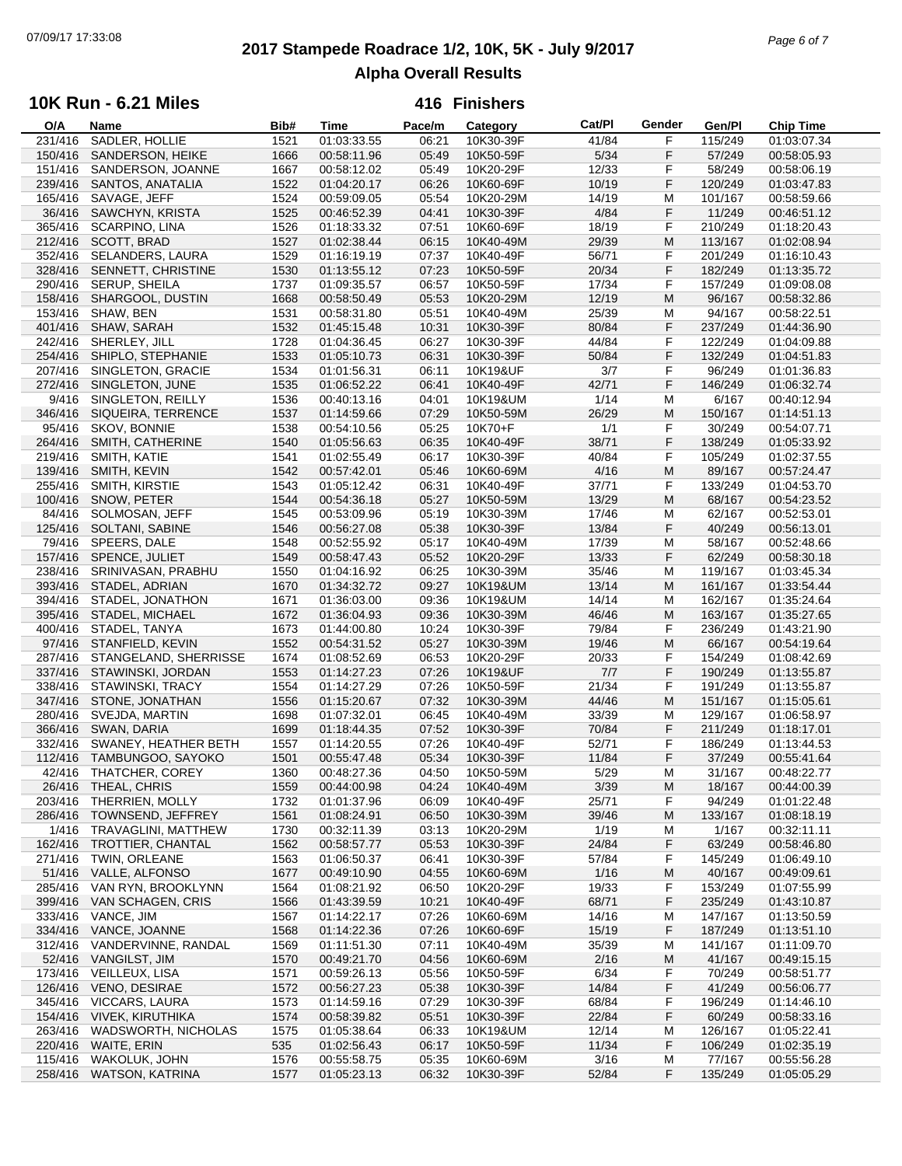# **2017 Stampede Roadrace 1/2, 10K, 5K - July 9/2017** 07/09/17 17:33:08 *Page 6 of 7* **Alpha Overall Results**

### **10K Run - 6.21 Miles**

| O/A     | Name                       | Bib# | <b>Time</b> | Pace/m | Category  | Cat/PI | Gender | Gen/Pl  | <b>Chip Time</b> |
|---------|----------------------------|------|-------------|--------|-----------|--------|--------|---------|------------------|
| 231/416 | SADLER, HOLLIE             | 1521 | 01:03:33.55 | 06:21  | 10K30-39F | 41/84  | F      | 115/249 | 01:03:07.34      |
| 150/416 | SANDERSON, HEIKE           | 1666 | 00:58:11.96 | 05:49  | 10K50-59F | 5/34   | F      | 57/249  | 00:58:05.93      |
| 151/416 | SANDERSON, JOANNE          | 1667 | 00:58:12.02 | 05:49  | 10K20-29F | 12/33  | F      | 58/249  | 00:58:06.19      |
| 239/416 | SANTOS, ANATALIA           | 1522 | 01:04:20.17 | 06:26  | 10K60-69F | 10/19  | F      | 120/249 | 01:03:47.83      |
| 165/416 |                            | 1524 | 00:59:09.05 |        |           |        | м      |         |                  |
|         | SAVAGE, JEFF               |      |             | 05:54  | 10K20-29M | 14/19  |        | 101/167 | 00:58:59.66      |
| 36/416  | SAWCHYN, KRISTA            | 1525 | 00:46:52.39 | 04:41  | 10K30-39F | 4/84   | F      | 11/249  | 00:46:51.12      |
| 365/416 | SCARPINO, LINA             | 1526 | 01:18:33.32 | 07:51  | 10K60-69F | 18/19  | F      | 210/249 | 01:18:20.43      |
| 212/416 | SCOTT, BRAD                | 1527 | 01:02:38.44 | 06:15  | 10K40-49M | 29/39  | M      | 113/167 | 01:02:08.94      |
| 352/416 | <b>SELANDERS, LAURA</b>    | 1529 | 01:16:19.19 | 07:37  | 10K40-49F | 56/71  | F      | 201/249 | 01:16:10.43      |
| 328/416 | SENNETT, CHRISTINE         | 1530 | 01:13:55.12 | 07:23  | 10K50-59F | 20/34  | F      | 182/249 | 01:13:35.72      |
| 290/416 | SERUP, SHEILA              | 1737 | 01:09:35.57 | 06:57  | 10K50-59F | 17/34  | F      | 157/249 | 01:09:08.08      |
| 158/416 | SHARGOOL, DUSTIN           | 1668 | 00:58:50.49 | 05:53  | 10K20-29M | 12/19  | M      | 96/167  | 00:58:32.86      |
| 153/416 | SHAW, BEN                  | 1531 | 00:58:31.80 | 05:51  | 10K40-49M | 25/39  | M      | 94/167  | 00:58:22.51      |
|         |                            |      |             |        |           |        |        |         |                  |
| 401/416 | SHAW, SARAH                | 1532 | 01:45:15.48 | 10:31  | 10K30-39F | 80/84  | F      | 237/249 | 01:44:36.90      |
| 242/416 | SHERLEY, JILL              | 1728 | 01:04:36.45 | 06:27  | 10K30-39F | 44/84  | F      | 122/249 | 01:04:09.88      |
| 254/416 | SHIPLO, STEPHANIE          | 1533 | 01:05:10.73 | 06:31  | 10K30-39F | 50/84  | F      | 132/249 | 01:04:51.83      |
| 207/416 | SINGLETON, GRACIE          | 1534 | 01:01:56.31 | 06:11  | 10K19&UF  | 3/7    | F      | 96/249  | 01:01:36.83      |
| 272/416 | SINGLETON, JUNE            | 1535 | 01:06:52.22 | 06:41  | 10K40-49F | 42/71  | F      | 146/249 | 01:06:32.74      |
| 9/416   | SINGLETON, REILLY          | 1536 | 00:40:13.16 | 04:01  | 10K19&UM  | 1/14   | M      | 6/167   | 00:40:12.94      |
| 346/416 | SIQUEIRA, TERRENCE         | 1537 | 01:14:59.66 | 07:29  | 10K50-59M | 26/29  | M      | 150/167 | 01:14:51.13      |
| 95/416  | SKOV, BONNIE               | 1538 | 00:54:10.56 | 05:25  | 10K70+F   | 1/1    | F      | 30/249  | 00:54:07.71      |
|         |                            |      |             |        |           |        | F      |         |                  |
| 264/416 | SMITH, CATHERINE           | 1540 | 01:05:56.63 | 06:35  | 10K40-49F | 38/71  |        | 138/249 | 01:05:33.92      |
| 219/416 | SMITH, KATIE               | 1541 | 01:02:55.49 | 06:17  | 10K30-39F | 40/84  | F      | 105/249 | 01:02:37.55      |
| 139/416 | SMITH, KEVIN               | 1542 | 00:57:42.01 | 05:46  | 10K60-69M | 4/16   | M      | 89/167  | 00:57:24.47      |
| 255/416 | SMITH, KIRSTIE             | 1543 | 01:05:12.42 | 06:31  | 10K40-49F | 37/71  | F      | 133/249 | 01:04:53.70      |
| 100/416 | SNOW, PETER                | 1544 | 00:54:36.18 | 05:27  | 10K50-59M | 13/29  | M      | 68/167  | 00:54:23.52      |
| 84/416  | SOLMOSAN, JEFF             | 1545 | 00:53:09.96 | 05:19  | 10K30-39M | 17/46  | M      | 62/167  | 00:52:53.01      |
| 125/416 | SOLTANI, SABINE            | 1546 | 00:56:27.08 | 05:38  | 10K30-39F | 13/84  | F      | 40/249  | 00:56:13.01      |
| 79/416  | SPEERS, DALE               | 1548 | 00:52:55.92 | 05:17  | 10K40-49M | 17/39  | M      | 58/167  | 00:52:48.66      |
|         |                            |      |             |        |           |        |        |         |                  |
| 157/416 | SPENCE, JULIET             | 1549 | 00:58:47.43 | 05:52  | 10K20-29F | 13/33  | F      | 62/249  | 00:58:30.18      |
| 238/416 | SRINIVASAN, PRABHU         | 1550 | 01:04:16.92 | 06:25  | 10K30-39M | 35/46  | M      | 119/167 | 01:03:45.34      |
| 393/416 | STADEL, ADRIAN             | 1670 | 01:34:32.72 | 09:27  | 10K19&UM  | 13/14  | M      | 161/167 | 01:33:54.44      |
| 394/416 | STADEL, JONATHON           | 1671 | 01:36:03.00 | 09:36  | 10K19&UM  | 14/14  | M      | 162/167 | 01:35:24.64      |
| 395/416 | STADEL, MICHAEL            | 1672 | 01:36:04.93 | 09:36  | 10K30-39M | 46/46  | M      | 163/167 | 01:35:27.65      |
| 400/416 | STADEL, TANYA              | 1673 | 01:44:00.80 | 10:24  | 10K30-39F | 79/84  | F      | 236/249 | 01:43:21.90      |
| 97/416  | STANFIELD, KEVIN           | 1552 | 00:54:31.52 | 05:27  | 10K30-39M | 19/46  | M      | 66/167  | 00:54:19.64      |
| 287/416 | STANGELAND, SHERRISSE      | 1674 | 01:08:52.69 | 06:53  | 10K20-29F | 20/33  | F      | 154/249 | 01:08:42.69      |
| 337/416 |                            |      |             | 07:26  |           | 7/7    | F      |         |                  |
|         | STAWINSKI, JORDAN          | 1553 | 01:14:27.23 |        | 10K19&UF  |        |        | 190/249 | 01:13:55.87      |
| 338/416 | STAWINSKI, TRACY           | 1554 | 01:14:27.29 | 07:26  | 10K50-59F | 21/34  | F      | 191/249 | 01:13:55.87      |
| 347/416 | STONE, JONATHAN            | 1556 | 01:15:20.67 | 07:32  | 10K30-39M | 44/46  | M      | 151/167 | 01:15:05.61      |
| 280/416 | SVEJDA, MARTIN             | 1698 | 01:07:32.01 | 06:45  | 10K40-49M | 33/39  | M      | 129/167 | 01:06:58.97      |
| 366/416 | SWAN, DARIA                | 1699 | 01:18:44.35 | 07:52  | 10K30-39F | 70/84  | F      | 211/249 | 01:18:17.01      |
| 332/416 | SWANEY, HEATHER BETH       | 1557 | 01:14:20.55 | 07:26  | 10K40-49F | 52/71  | F      | 186/249 | 01:13:44.53      |
| 112/416 | TAMBUNGOO, SAYOKO          | 1501 | 00:55:47.48 | 05:34  | 10K30-39F | 11/84  | F      | 37/249  | 00:55:41.64      |
|         | 42/416 THATCHER, COREY     | 1360 | 00:48:27.36 | 04:50  | 10K50-59M | 5/29   | M      | 31/167  | 00:48:22.77      |
|         | 26/416 THEAL, CHRIS        | 1559 | 00:44:00.98 | 04:24  | 10K40-49M | 3/39   | M      | 18/167  | 00:44:00.39      |
| 203/416 | THERRIEN, MOLLY            | 1732 | 01:01:37.96 | 06:09  | 10K40-49F | 25/71  | F      | 94/249  | 01:01:22.48      |
|         |                            |      |             |        |           |        |        |         |                  |
| 286/416 | TOWNSEND, JEFFREY          | 1561 | 01:08:24.91 | 06:50  | 10K30-39M | 39/46  | M      | 133/167 | 01:08:18.19      |
| 1/416   | TRAVAGLINI, MATTHEW        | 1730 | 00:32:11.39 | 03:13  | 10K20-29M | 1/19   | M      | 1/167   | 00:32:11.11      |
| 162/416 | TROTTIER, CHANTAL          | 1562 | 00:58:57.77 | 05:53  | 10K30-39F | 24/84  | F      | 63/249  | 00:58:46.80      |
| 271/416 | TWIN, ORLEANE              | 1563 | 01:06:50.37 | 06:41  | 10K30-39F | 57/84  | F      | 145/249 | 01:06:49.10      |
| 51/416  | VALLE, ALFONSO             | 1677 | 00:49:10.90 | 04:55  | 10K60-69M | 1/16   | M      | 40/167  | 00:49:09.61      |
| 285/416 | VAN RYN, BROOKLYNN         | 1564 | 01:08:21.92 | 06:50  | 10K20-29F | 19/33  | F      | 153/249 | 01:07:55.99      |
| 399/416 | VAN SCHAGEN, CRIS          | 1566 | 01:43:39.59 | 10:21  | 10K40-49F | 68/71  | F      | 235/249 | 01:43:10.87      |
| 333/416 | VANCE, JIM                 | 1567 | 01:14:22.17 | 07:26  | 10K60-69M | 14/16  | M      | 147/167 | 01:13:50.59      |
|         | VANCE, JOANNE              |      |             |        |           |        |        |         | 01:13:51.10      |
| 334/416 |                            | 1568 | 01:14:22.36 | 07:26  | 10K60-69F | 15/19  | F      | 187/249 |                  |
| 312/416 | VANDERVINNE, RANDAL        | 1569 | 01:11:51.30 | 07:11  | 10K40-49M | 35/39  | м      | 141/167 | 01:11:09.70      |
| 52/416  | <b>VANGILST, JIM</b>       | 1570 | 00:49:21.70 | 04:56  | 10K60-69M | 2/16   | M      | 41/167  | 00:49:15.15      |
| 173/416 | VEILLEUX, LISA             | 1571 | 00:59:26.13 | 05:56  | 10K50-59F | 6/34   | F      | 70/249  | 00:58:51.77      |
| 126/416 | VENO, DESIRAE              | 1572 | 00:56:27.23 | 05:38  | 10K30-39F | 14/84  | F      | 41/249  | 00:56:06.77      |
| 345/416 | VICCARS, LAURA             | 1573 | 01:14:59.16 | 07:29  | 10K30-39F | 68/84  | F      | 196/249 | 01:14:46.10      |
| 154/416 | <b>VIVEK, KIRUTHIKA</b>    | 1574 | 00:58:39.82 | 05:51  | 10K30-39F | 22/84  | F      | 60/249  | 00:58:33.16      |
| 263/416 | <b>WADSWORTH, NICHOLAS</b> | 1575 | 01:05:38.64 | 06:33  | 10K19&UM  | 12/14  | M      | 126/167 | 01:05:22.41      |
| 220/416 | WAITE, ERIN                | 535  | 01:02:56.43 | 06:17  | 10K50-59F | 11/34  | F      | 106/249 | 01:02:35.19      |
|         |                            |      |             |        |           |        |        |         |                  |
| 115/416 | <b>WAKOLUK, JOHN</b>       | 1576 | 00:55:58.75 | 05:35  | 10K60-69M | 3/16   | M      | 77/167  | 00:55:56.28      |
|         | 258/416 WATSON, KATRINA    | 1577 | 01:05:23.13 | 06:32  | 10K30-39F | 52/84  | F      | 135/249 | 01:05:05.29      |